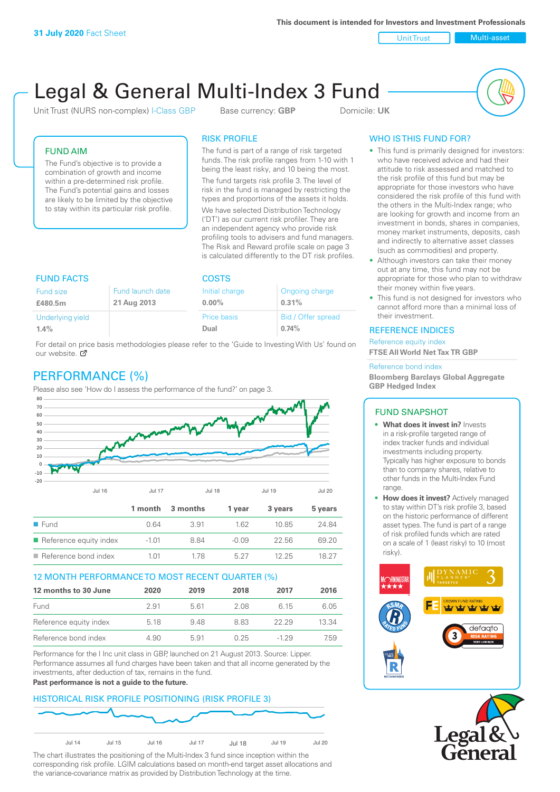Unit Trust Nulti-asset

# Legal & General Multi-Index 3 Fund

Unit Trust (NURS non-complex) I-Class GBP Base currency: **GBP** Domicile: UK



## FUND AIM

The Fund's objective is to provide a combination of growth and income within a pre-determined risk profile. The Fund's potential gains and losses are likely to be limited by the objective to stay within its particular risk profile.

### RISK PROFILE

The fund is part of a range of risk targeted funds. The risk profile ranges from 1-10 with 1 being the least risky, and 10 being the most.

The fund targets risk profile 3. The level of risk in the fund is managed by restricting the types and proportions of the assets it holds. We have selected Distribution Technology ('DT') as our current risk profiler. They are an independent agency who provide risk profiling tools to advisers and fund managers. The Risk and Reward profile scale on page 3 is calculated differently to the DT risk profiles.

| <b>FUND FACTS</b> |                  | <b>COSTS</b>   |                    |  |
|-------------------|------------------|----------------|--------------------|--|
| Fund size         | Fund launch date | Initial charge | Ongoing charge     |  |
| £480.5m           | 21 Aug 2013      | $0.00\%$       | 0.31%              |  |
| Underlying yield  |                  | Price basis    | Bid / Offer spread |  |
| 1.4%              |                  | Dual           | 0.74%              |  |

For detail on [pric](http://www.legalandgeneral.com/guide)e basis methodologies please refer to the 'Guide to Investing With Us' found on our website. Ø

# PERFORMANCE (%)

Please also see 'How do I assess the performance of the fund?' on page 3.



#### 12 MONTH PERFORMANCE TO MOST RECENT QUARTER (%)

| 12 months to 30 June   | 2020 | 2019 | 2018 | 2017   | 2016  |
|------------------------|------|------|------|--------|-------|
| Fund                   | 2.91 | 561  | 2.08 | 6 15   | 6.05  |
| Reference equity index | 5.18 | 948  | 883  | 22.29  | 13.34 |
| Reference bond index   | 4.90 | 5.91 | 0.25 | $-129$ | 7.59  |

Performance for the I Inc unit class in GBP, launched on 21 August 2013. Source: Lipper. Performance assumes all fund charges have been taken and that all income generated by the investments, after deduction of tax, remains in the fund.

#### **Past performance is not a guide to the future.**

# HISTORICAL RISK PROFILE POSITIONING (RISK PROFILE 3)



The chart illustrates the positioning of the Multi-Index 3 fund since inception within the corresponding risk profile. LGIM calculations based on month-end target asset allocations and the variance-covariance matrix as provided by Distribution Technology at the time.

# WHO IS THIS FUND FOR?

- This fund is primarily designed for investors: who have received advice and had their attitude to risk assessed and matched to the risk profile of this fund but may be appropriate for those investors who have considered the risk profile of this fund with the others in the Multi-Index range; who are looking for growth and income from an investment in bonds, shares in companies, money market instruments, deposits, cash and indirectly to alternative asset classes (such as commodities) and property.
- Although investors can take their money out at any time, this fund may not be appropriate for those who plan to withdraw their money within five years.
- This fund is not designed for investors who cannot afford more than a minimal loss of their investment.

#### REFERENCE INDICES

Reference equity index **FTSE All World Net Tax TR GBP**

#### Reference bond index

**Bloomberg Barclays Global Aggregate GBP Hedged Index**

#### FUND SNAPSHOT

- **• What does it invest in?** Invests in a risk-profile targeted range of index tracker funds and individual investments including property. Typically has higher exposure to bonds than to company shares, relative to other funds in the Multi-Index Fund range.
- **• How does it invest?** Actively managed to stay within DT's risk profile 3, based on the historic performance of different asset types. The fund is part of a range of risk profiled funds which are rated on a scale of 1 (least risky) to 10 (most risky).



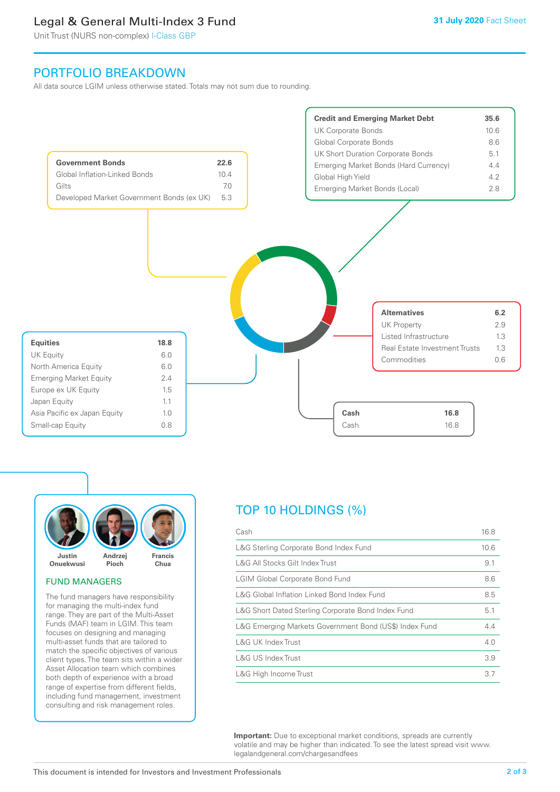# Legal & General Multi-Index 3 Fund

Unit Trust (NURS non-complex) I-Class GBP

# PORTFOLIO BREAKDOWN

All data source LGIM unless otherwise stated. Totals may not sum due to rounding.





#### FUND MANAGERS

The fund managers have responsibility for managing the multi-index fund range. They are part of the Multi-Asset Funds (MAF) team in LGIM. This team focuses on designing and managing multi-asset funds that are tailored to match the specific objectives of various client types. The team sits within a wider Asset Allocation team which combines both depth of experience with a broad range of expertise from different fields, including fund management, investment consulting and risk management roles.

# TOP 10 HOLDINGS (%)

| Cash                                                   | 16.8 |
|--------------------------------------------------------|------|
| L&G Sterling Corporate Bond Index Fund                 | 10.6 |
| L&G All Stocks Gilt Index Trust                        | 9.1  |
| <b>LGIM Global Corporate Bond Fund</b>                 | 8.6  |
| L&G Global Inflation Linked Bond Index Fund            | 8.5  |
| L&G Short Dated Sterling Corporate Bond Index Fund     | 5.1  |
| L&G Emerging Markets Government Bond (US\$) Index Fund | 4.4  |
| L&G UK Index Trust                                     | 4.0  |
| L&G US Index Trust                                     | 3.9  |
| L&G High Income Trust                                  | 3.7  |

**Important:** Due to exceptional market conditions, spreads are currently volatile and may be higher than indicated. To see the latest spread visit www. legalandgeneral.com/chargesandfees